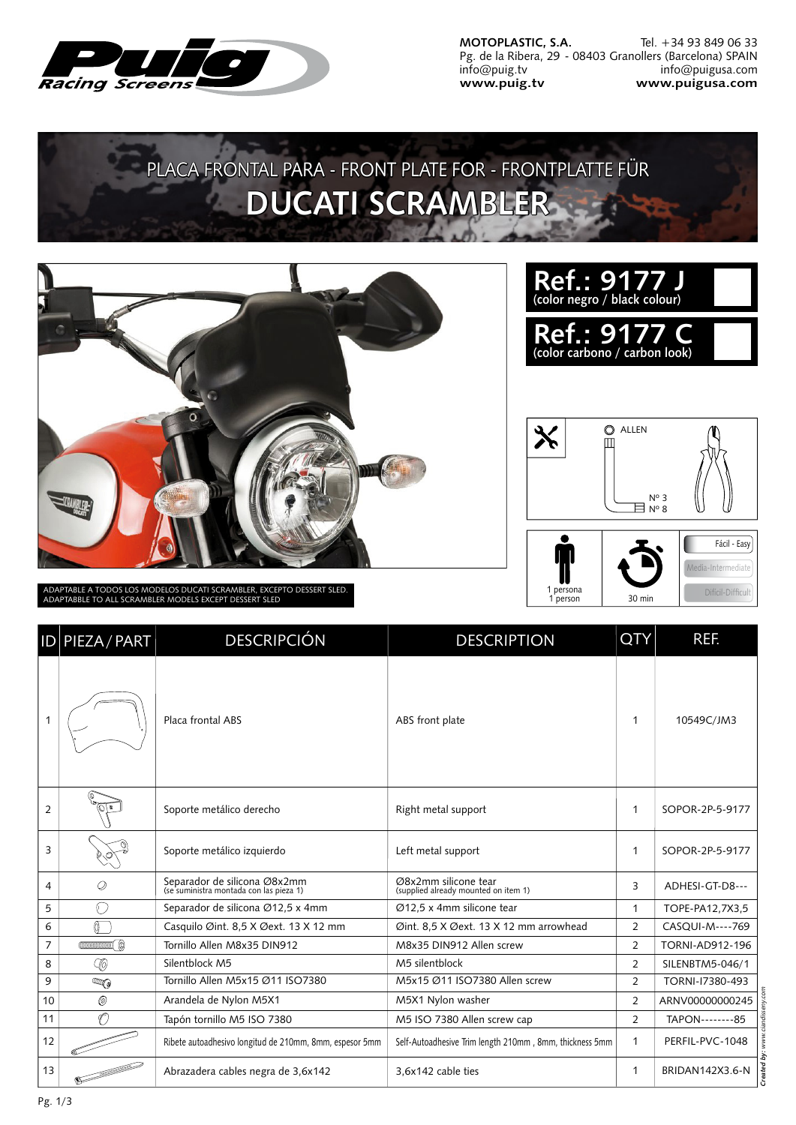

**MOTOPLASTIC, S.A.** Pg. de la Ribera, 29 - 08403 Granollers (Barcelona) SPAIN info@puig.tv **www.puig.tv** Tel. +34 93 849 06 33 info@puigusa.com **www.puigusa.com**

## PLACA FRONTAL PARA - FRONT PLATE FOR - FRONTPLATTE FÜR **DUCATI SCRAMBLER**



ADAPTABLE A TODOS LOS MODELOS DUCATI SCRAMBLER, EXCEPTO DESSERT SLED. ADAPTABBLE TO ALL SCRAMBLER MODELS EXCEPT DESSERT SLED

| Ref.: 9177 J<br>(color negro / black colour)  |  |
|-----------------------------------------------|--|
| Ref.: 9177 C<br>(color carbono / carbon look) |  |
|                                               |  |



|                | <b>ID PIEZA/PART</b> | <b>DESCRIPCIÓN</b>                                                      | <b>DESCRIPTION</b>                                           | <b>QTY</b>   | REF.            |
|----------------|----------------------|-------------------------------------------------------------------------|--------------------------------------------------------------|--------------|-----------------|
| 1              |                      | Placa frontal ABS                                                       | ABS front plate                                              | 1            | 10549C/JM3      |
| $\overline{2}$ |                      | Soporte metálico derecho                                                | Right metal support                                          | 1            | SOPOR-2P-5-9177 |
| $\overline{3}$ |                      | Soporte metálico izquierdo                                              | Left metal support                                           | $\mathbf{1}$ | SOPOR-2P-5-9177 |
| 4              | Q                    | Separador de silicona Ø8x2mm<br>(se suministra montada con las pieza 1) | Ø8x2mm silicone tear<br>(supplied already mounted on item 1) | 3            | ADHESI-GT-D8--- |

| 3  |           | Soporte metálico izquierdo                                              | Left metal support                                           |                | SOPOR-2P-5-9177 |
|----|-----------|-------------------------------------------------------------------------|--------------------------------------------------------------|----------------|-----------------|
| 4  | Ø         | Separador de silicona Ø8x2mm<br>(se suministra montada con las pieza 1) | Ø8x2mm silicone tear<br>(supplied already mounted on item 1) | 3              | ADHESI-GT-D8--- |
| 5  | α.        | Separador de silicona Ø12,5 x 4mm                                       | Ø12,5 x 4mm silicone tear                                    |                | TOPE-PA12,7X3,5 |
| 6  |           | Casquilo Øint. 8,5 X Øext. 13 X 12 mm                                   | Øint. 8,5 X Øext. 13 X 12 mm arrowhead                       | $\overline{2}$ | CASQUI-M----769 |
| 7  |           | Tornillo Allen M8x35 DIN912                                             | M8x35 DIN912 Allen screw                                     | $\overline{2}$ | TORNI-AD912-196 |
| 8  | -10       | Silentblock M5                                                          | M5 silentblock                                               | $\overline{2}$ | SILENBTM5-046/1 |
| 9  | <b>AM</b> | Tornillo Allen M5x15 Ø11 ISO7380                                        | M5x15 Ø11 ISO7380 Allen screw                                | $\overline{2}$ | TORNI-17380-493 |
| 10 | O)        | Arandela de Nylon M5X1                                                  | M5X1 Nylon washer                                            | $\overline{2}$ | ARNV00000000245 |
| 11 | ď         | Tapón tornillo M5 ISO 7380                                              | M5 ISO 7380 Allen screw cap                                  | $\overline{2}$ | TAPON--------85 |
| 12 |           | Ribete autoadhesivo longitud de 210mm, 8mm, espesor 5mm                 | Self-Autoadhesive Trim length 210mm, 8mm, thickness 5mm      |                | PERFIL-PVC-1048 |
| 13 |           | Abrazadera cables negra de 3,6x142                                      | 3,6x142 cable ties                                           |                | BRIDAN142X3.6-N |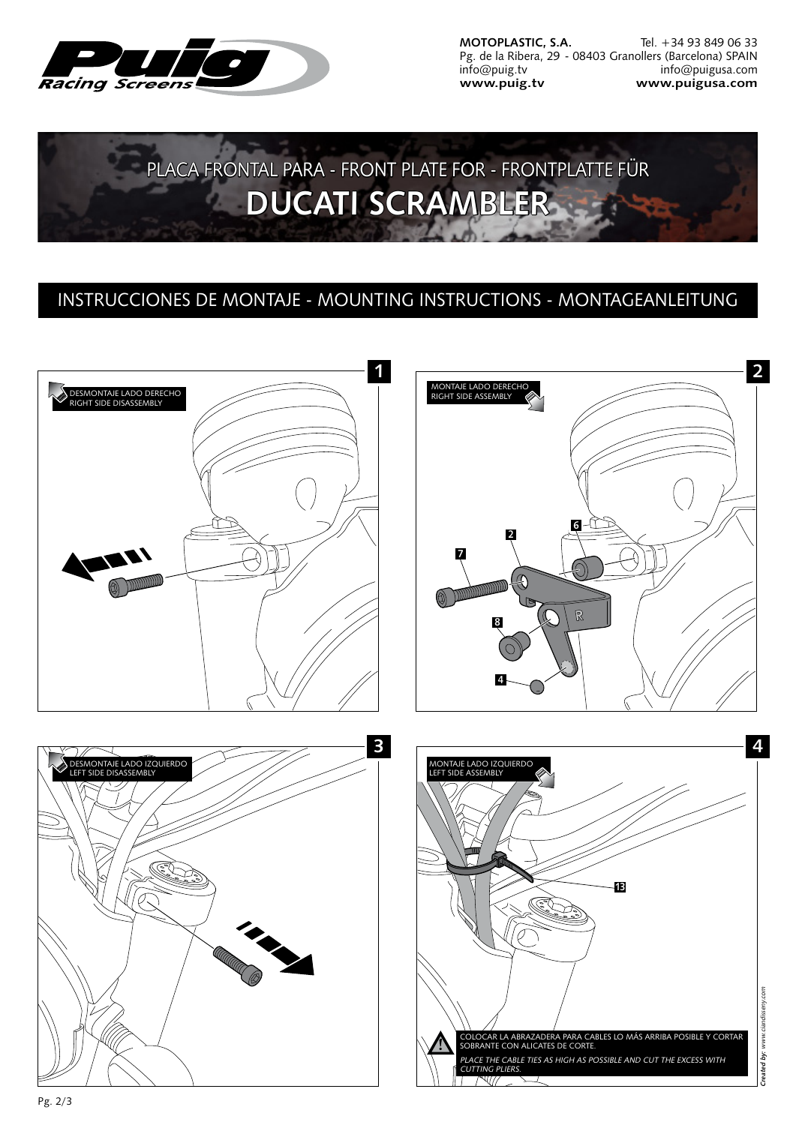

**MOTOPLASTIC, S.A.** Pg. de la Ribera, 29 - 08403 Granollers (Barcelona) SPAIN info@puig.tv **www.puig.tv** Tel. +34 93 849 06 33 info@puigusa.com **www.puigusa.com**



## INSTRUCCIONES DE MONTAJE - MOUNTING INSTRUCTIONS - MONTAGEANLEITUNG